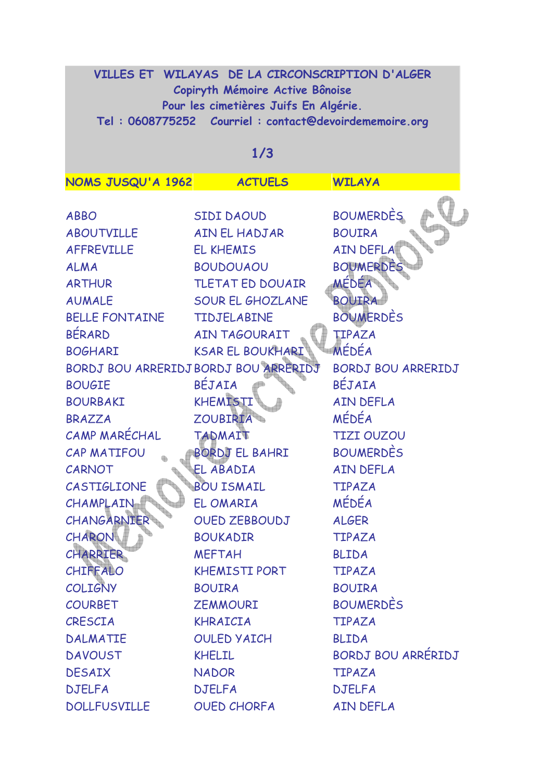| VILLES ET WILAYAS DE LA CIRCONSCRIPTION D'ALGER<br>Copiryth Mémoire Active Bônoise<br>Pour les cimetières Juifs En Algérie. |                                       |                           |  |
|-----------------------------------------------------------------------------------------------------------------------------|---------------------------------------|---------------------------|--|
| Tel: 0608775252    Courriel: contact@devoirdememoire.org                                                                    |                                       |                           |  |
| 1/3                                                                                                                         |                                       |                           |  |
| NOMS JUSQU'A 1962                                                                                                           | <b>ACTUELS</b>                        | <b>WILAYA</b>             |  |
|                                                                                                                             |                                       |                           |  |
| <b>ABBO</b>                                                                                                                 | SIDI DAOUD                            | <b>BOUMERDÈS</b>          |  |
| <b>ABOUTVILLE</b>                                                                                                           | AIN EL HADJAR                         | <b>BOUIRA</b>             |  |
| <b>AFFREVILLE</b>                                                                                                           | <b>EL KHEMIS</b>                      | <b>AIN DEFLA</b>          |  |
| <b>ALMA</b>                                                                                                                 | <b>BOUDOUAOU</b>                      | <b>BOUMERDES</b>          |  |
| <b>ARTHUR</b>                                                                                                               | TLETAT ED DOUAIR                      | <b>MÉDÉA</b>              |  |
| <b>AUMALE</b>                                                                                                               | <b>SOUR EL GHOZLANE</b>               | <b>BOUTRA</b>             |  |
| <b>BELLE FONTAINE</b>                                                                                                       | <b>TIDJELABINE</b>                    | <b>BOUMERDES</b>          |  |
| <b>BÉRARD</b>                                                                                                               | AIN TAGOURAIT                         | TIPAZA                    |  |
| <b>BOGHARI</b>                                                                                                              | <b>KSAR EL BOUKHARI</b>               | MÉDÉA                     |  |
|                                                                                                                             | BORDJ BOU ARRERIDJ BORDJ BOU ARRERIDJ | <b>BORDJ BOU ARRERIDJ</b> |  |
| <b>BOUGIE</b>                                                                                                               | BÉJAIA                                | BÉJAIA                    |  |
| <b>BOURBAKI</b>                                                                                                             | KHEMISTI                              | <b>AIN DEFLA</b>          |  |
| <b>BRAZZA</b>                                                                                                               | ZOUBIRIA                              | MÉDÉA                     |  |
| CAMP MARÉCHAL                                                                                                               | <b>TADMAIT</b>                        | <b>TIZI OUZOU</b>         |  |
| <b>CAP MATIFOU</b>                                                                                                          | BORDJ EL BAHRI                        | <b>BOUMERDES</b>          |  |
| CARNOT                                                                                                                      | EL ABADIA                             | <b>AIN DEFLA</b>          |  |
| CASTIGLIONE                                                                                                                 | <b>BOU ISMAIL</b>                     | TIPAZA                    |  |
| CHAMPLAIN                                                                                                                   | EL OMARIA                             | MÉDÉA                     |  |
| CHANGARNIER                                                                                                                 | <b>OUED ZEBBOUDJ</b>                  | <b>ALGER</b>              |  |
| CHARON                                                                                                                      | <b>BOUKADIR</b>                       | <b>TIPAZA</b>             |  |
| <b>CHARRIER</b>                                                                                                             | <b>MEFTAH</b>                         | <b>BLIDA</b>              |  |
| CHIFFALO                                                                                                                    | <b>KHEMISTI PORT</b>                  | <b>TIPAZA</b>             |  |
| <b>COLIGNY</b>                                                                                                              | <b>BOUIRA</b>                         | <b>BOUIRA</b>             |  |
| <b>COURBET</b>                                                                                                              | <b>ZEMMOURI</b>                       | <b>BOUMERDES</b>          |  |
| CRESCIA                                                                                                                     | KHRAICIA                              | <b>TIPAZA</b>             |  |
| <b>DALMATIE</b>                                                                                                             | <b>OULED YAICH</b>                    | <b>BLIDA</b>              |  |
| <b>DAVOUST</b>                                                                                                              | <b>KHELIL</b>                         | BORDJ BOU ARRÉRIDJ        |  |
| <b>DESAIX</b>                                                                                                               | <b>NADOR</b>                          | <b>TIPAZA</b>             |  |
| <b>DJELFA</b>                                                                                                               | <b>DJELFA</b>                         | <b>DJELFA</b>             |  |
| <b>DOLLFUSVILLE</b>                                                                                                         | <b>OUED CHORFA</b>                    | <b>AIN DEFLA</b>          |  |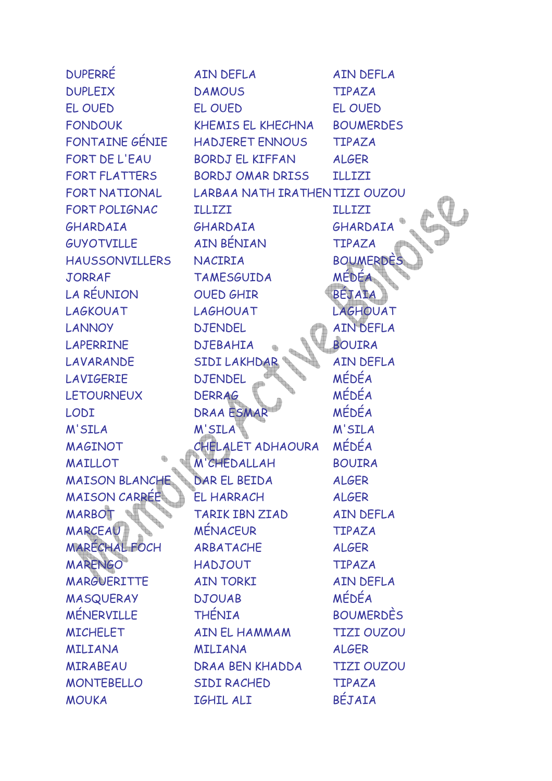| <b>DUPERRE</b>        | AIN DEFLA                      | <b>AIN DEFLA</b>  |
|-----------------------|--------------------------------|-------------------|
| <b>DUPLEIX</b>        | <b>DAMOUS</b>                  | <b>TIPAZA</b>     |
| EL OUED               | EL OUED                        | EL OUED           |
| <b>FONDOUK</b>        | KHEMIS EL KHECHNA              | <b>BOUMERDES</b>  |
| FONTAINE GÉNIE        | HADJERET ENNOUS                | <b>TIPAZA</b>     |
| FORT DE L'EAU         | <b>BORDJ EL KIFFAN</b>         | <b>ALGER</b>      |
| <b>FORT FLATTERS</b>  | BORDJ OMAR DRISS               | <b>ILLIZI</b>     |
| FORT NATIONAL         | LARBAA NATH IRATHEN TIZI OUZOU |                   |
| FORT POLIGNAC         | <b>ILLIZI</b>                  | <b>ILLIZI</b>     |
| GHARDAIA              | GHARDAIA                       | GHARDAIA          |
| GUYOTVILLE            | <b>AIN BÉNIAN</b>              | <b>TIPAZA</b>     |
| <b>HAUSSONVILLERS</b> | NACIRIA                        | <b>BOUMERDES</b>  |
| <b>JORRAF</b>         | <b>TAMESGUIDA</b>              | MÉDÉA             |
| LA RÉUNION            | OUED GHIR                      | BÉJAIA            |
| LAGKOUAT              | <b>LAGHOUAT</b>                | LAGHOUAT          |
| <b>LANNOY</b>         | <b>DJENDEL</b>                 | <b>AIN DEFLA</b>  |
| <b>LAPERRINE</b>      | <b>DJEBAHIA</b>                | <b>BOUIRA</b>     |
| LAVARANDE             | SIDI LAKHDAR                   | <b>AIN DEFLA</b>  |
| <b>LAVIGERIE</b>      | <b>DJENDEL</b>                 | MÉDÉA             |
| <b>LETOURNEUX</b>     | <b>DERRAG</b>                  | MÉDÉA             |
| LODI                  | DRAA ESMAR                     | MÉDÉA             |
| M'SILA                | M'SILA                         | M'SILA            |
| <b>MAGINOT</b>        | CHELALET ADHAOURA              | MÉDÉA             |
| <b>MAILLOT</b>        | M'CHEDALLAH                    | <b>BOUIRA</b>     |
| <b>MAISON BLANCHE</b> | DAR EL BEIDA                   | <b>ALGER</b>      |
| <b>MAISON CARREE</b>  | <b>EL HARRACH</b>              | <b>ALGER</b>      |
| <b>MARBOT</b>         | <b>TARIK IBN ZIAD</b>          | <b>AIN DEFLA</b>  |
| MARCEAU               | <b>MÉNACEUR</b>                | <b>TIPAZA</b>     |
| <b>MARECHAL FOCH</b>  | ARBATACHE                      | <b>ALGER</b>      |
| <b>MARENGO</b>        | <b>HADJOUT</b>                 | <b>TIPAZA</b>     |
| MARGUERITTE           | <b>AIN TORKI</b>               | <b>AIN DEFLA</b>  |
| <b>MASQUERAY</b>      | <b>DJOUAB</b>                  | MÉDÉA             |
| <b>MÉNERVILLE</b>     | <b>THÉNIA</b>                  | <b>BOUMERDES</b>  |
| <b>MICHELET</b>       | AIN EL HAMMAM                  | <b>TIZI OUZOU</b> |
| <b>MILIANA</b>        | <b>MILIANA</b>                 | <b>ALGER</b>      |
| <b>MIRABEAU</b>       | DRAA BEN KHADDA                | <b>TIZI OUZOU</b> |
| <b>MONTEBELLO</b>     | <b>SIDI RACHED</b>             | <b>TIPAZA</b>     |
| <b>MOUKA</b>          | IGHIL ALI                      | BÉJAIA            |